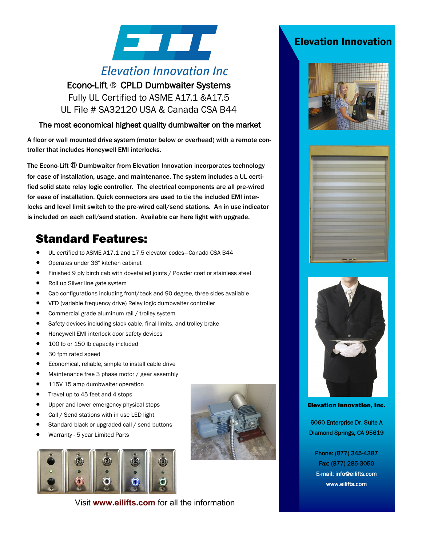# **STATE**

# **Elevation Innovation Inc**

Econo-Lift ® CPLD Dumbwaiter Systems Fully UL Certified to ASME A17.1 &A17.5 UL File # SA32120 USA & Canada CSA B44

#### The most economical highest quality dumbwaiter on the market

A floor or wall mounted drive system (motor below or overhead) with a remote controller that includes Honeywell EMI interlocks.

The Econo-Lift ® Dumbwaiter from Elevation Innovation incorporates technology for ease of installation, usage, and maintenance. The system includes a UL certified solid state relay logic controller. The electrical components are all pre-wired for ease of installation. Quick connectors are used to tie the included EMI interlocks and level limit switch to the pre-wired call/send stations. An in use indicator is included on each call/send station. Available car here light with upgrade.

# Standard Features:

- UL certified to ASME A17.1 and 17.5 elevator codes—Canada CSA B44
- Operates under 36" kitchen cabinet
- Finished 9 ply birch cab with dovetailed joints / Powder coat or stainless steel
- Roll up Silver line gate system
- Cab configurations including front/back and 90 degree, three sides available
- VFD (variable frequency drive) Relay logic dumbwaiter controller
- Commercial grade aluminum rail / trolley system
- Safety devices including slack cable, final limits, and trolley brake
- Honeywell EMI interlock door safety devices
- 100 lb or 150 lb capacity included
- 30 fpm rated speed
- Economical, reliable, simple to install cable drive
- Maintenance free 3 phase motor / gear assembly
- 115V 15 amp dumbwaiter operation
- Travel up to 45 feet and 4 stops
- Upper and lower emergency physical stops
- Call / Send stations with in use LED light
- Standard black or upgraded call / send buttons
- Warranty 5 year Limited Parts



Visit **www.eilifts.com** for all the information

## Elevation Innovation







Elevation Innovation, Inc.

6060 Enterprise Dr. Suite A Diamond Springs, CA 95619

Phone: (877) 345-4387 Fax: (877) 285-3050 E-mail: info@eilifts.com www.eilifts.com